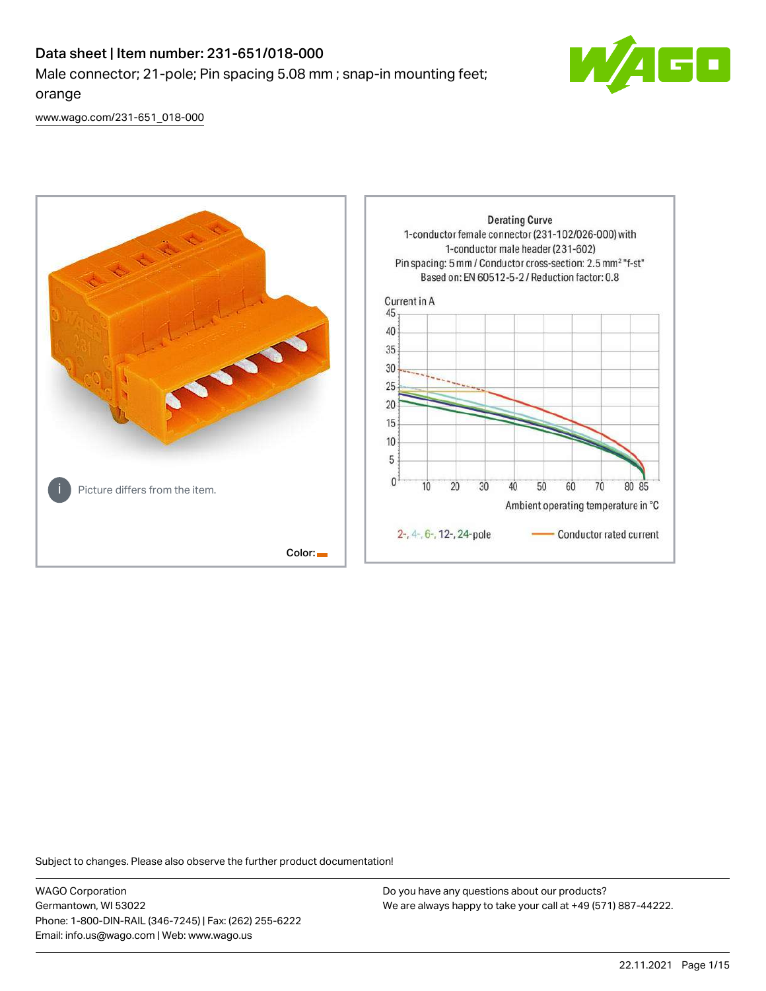# Data sheet | Item number: 231-651/018-000 Male connector; 21-pole; Pin spacing 5.08 mm ; snap-in mounting feet; orange



[www.wago.com/231-651\\_018-000](http://www.wago.com/231-651_018-000)



Subject to changes. Please also observe the further product documentation!

WAGO Corporation Germantown, WI 53022 Phone: 1-800-DIN-RAIL (346-7245) | Fax: (262) 255-6222 Email: info.us@wago.com | Web: www.wago.us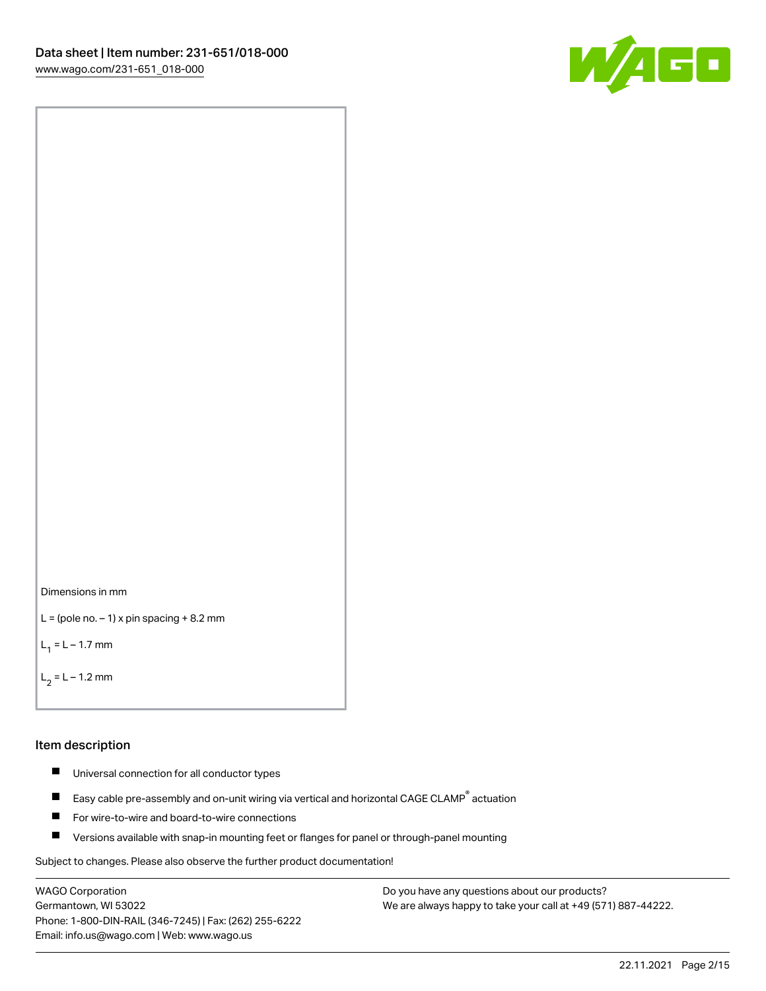



```
L = (pole no. -1) x pin spacing +8.2 mm
```
 $L_1 = L - 1.7$  mm

```
L_2 = L - 1.2 mm
```
#### Item description

- $\blacksquare$ Universal connection for all conductor types
- Easy cable pre-assembly and on-unit wiring via vertical and horizontal CAGE CLAMP<sup>®</sup> actuation  $\blacksquare$
- $\blacksquare$ For wire-to-wire and board-to-wire connections
- $\blacksquare$ Versions available with snap-in mounting feet or flanges for panel or through-panel mounting

Subject to changes. Please also observe the further product documentation!

WAGO Corporation Germantown, WI 53022 Phone: 1-800-DIN-RAIL (346-7245) | Fax: (262) 255-6222 Email: info.us@wago.com | Web: www.wago.us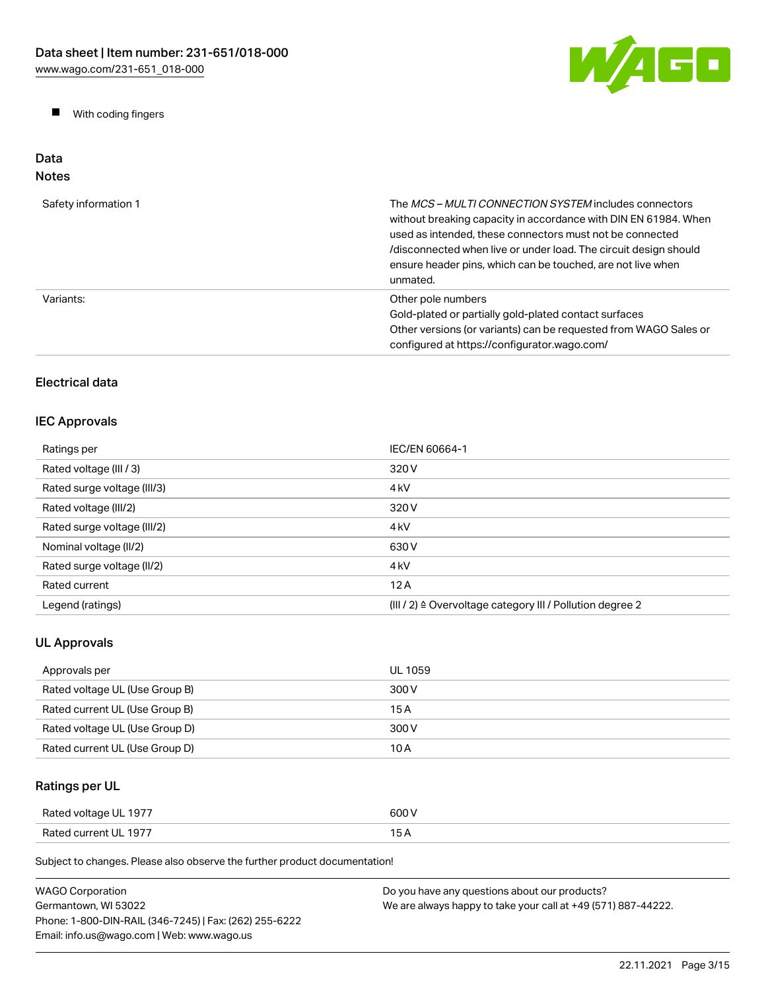W/AGO

 $\blacksquare$ With coding fingers

#### Data Notes

| Safety information 1 | The <i>MCS - MULTI CONNECTION SYSTEM</i> includes connectors<br>without breaking capacity in accordance with DIN EN 61984. When<br>used as intended, these connectors must not be connected<br>/disconnected when live or under load. The circuit design should<br>ensure header pins, which can be touched, are not live when<br>unmated. |
|----------------------|--------------------------------------------------------------------------------------------------------------------------------------------------------------------------------------------------------------------------------------------------------------------------------------------------------------------------------------------|
| Variants:            | Other pole numbers<br>Gold-plated or partially gold-plated contact surfaces<br>Other versions (or variants) can be requested from WAGO Sales or<br>configured at https://configurator.wago.com/                                                                                                                                            |

# Electrical data

### IEC Approvals

| Ratings per                 | IEC/EN 60664-1                                                       |
|-----------------------------|----------------------------------------------------------------------|
| Rated voltage (III / 3)     | 320 V                                                                |
| Rated surge voltage (III/3) | 4 <sub>k</sub> V                                                     |
| Rated voltage (III/2)       | 320 V                                                                |
| Rated surge voltage (III/2) | 4 <sub>k</sub> V                                                     |
| Nominal voltage (II/2)      | 630 V                                                                |
| Rated surge voltage (II/2)  | 4 <sub>k</sub> V                                                     |
| Rated current               | 12A                                                                  |
| Legend (ratings)            | (III / 2) $\triangleq$ Overvoltage category III / Pollution degree 2 |

# UL Approvals

| Approvals per                  | UL 1059 |
|--------------------------------|---------|
| Rated voltage UL (Use Group B) | 300 V   |
| Rated current UL (Use Group B) | 15 A    |
| Rated voltage UL (Use Group D) | 300 V   |
| Rated current UL (Use Group D) | 10 A    |

# Ratings per UL

| Rated voltage UL 1977 | 600 V |
|-----------------------|-------|
| Rated current UL 1977 | 15 A  |

| <b>WAGO Corporation</b>                                | Do you have any questions about our products?                 |
|--------------------------------------------------------|---------------------------------------------------------------|
| Germantown. WI 53022                                   | We are always happy to take your call at +49 (571) 887-44222. |
| Phone: 1-800-DIN-RAIL (346-7245)   Fax: (262) 255-6222 |                                                               |
| Email: info.us@wago.com   Web: www.wago.us             |                                                               |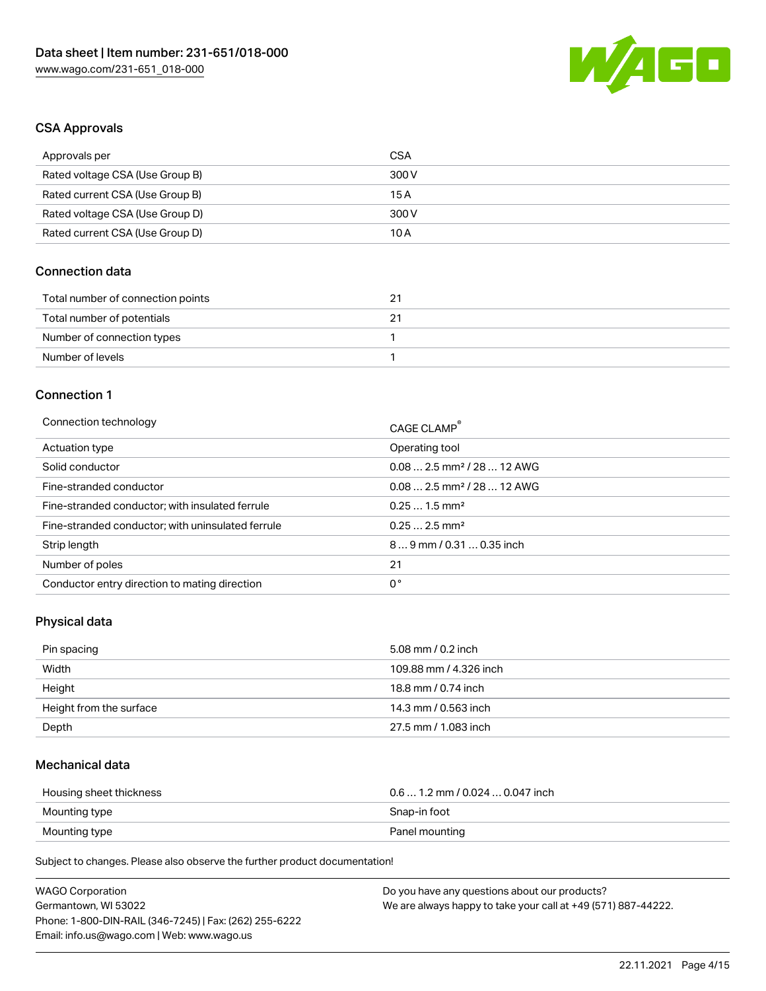

### CSA Approvals

| Approvals per                   | CSA   |
|---------------------------------|-------|
| Rated voltage CSA (Use Group B) | 300 V |
| Rated current CSA (Use Group B) | 15 A  |
| Rated voltage CSA (Use Group D) | 300 V |
| Rated current CSA (Use Group D) | 10 A  |

### Connection data

| Total number of connection points | 21 |
|-----------------------------------|----|
| Total number of potentials        |    |
| Number of connection types        |    |
| Number of levels                  |    |

#### Connection 1

| Connection technology                             | CAGE CLAMP®                            |
|---------------------------------------------------|----------------------------------------|
| Actuation type                                    | Operating tool                         |
| Solid conductor                                   | $0.082.5$ mm <sup>2</sup> / 28  12 AWG |
| Fine-stranded conductor                           | $0.082.5$ mm <sup>2</sup> / 28  12 AWG |
| Fine-stranded conductor; with insulated ferrule   | $0.251.5$ mm <sup>2</sup>              |
| Fine-stranded conductor; with uninsulated ferrule | $0.252.5$ mm <sup>2</sup>              |
| Strip length                                      | $89$ mm / 0.31  0.35 inch              |
| Number of poles                                   | 21                                     |
| Conductor entry direction to mating direction     | 0°                                     |
|                                                   |                                        |

# Physical data

| Pin spacing             | 5.08 mm / 0.2 inch     |
|-------------------------|------------------------|
| Width                   | 109.88 mm / 4.326 inch |
| Height                  | 18.8 mm / 0.74 inch    |
| Height from the surface | 14.3 mm / 0.563 inch   |
| Depth                   | 27.5 mm / 1.083 inch   |

### Mechanical data

| Housing sheet thickness | $0.6$ 1.2 mm / 0.024 $$ 0.047 inch |
|-------------------------|------------------------------------|
| Mounting type           | Snap-in foot                       |
| Mounting type           | Panel mounting                     |

| <b>WAGO Corporation</b>                                | Do you have any questions about our products?                 |
|--------------------------------------------------------|---------------------------------------------------------------|
| Germantown, WI 53022                                   | We are always happy to take your call at +49 (571) 887-44222. |
| Phone: 1-800-DIN-RAIL (346-7245)   Fax: (262) 255-6222 |                                                               |
| Email: info.us@wago.com   Web: www.wago.us             |                                                               |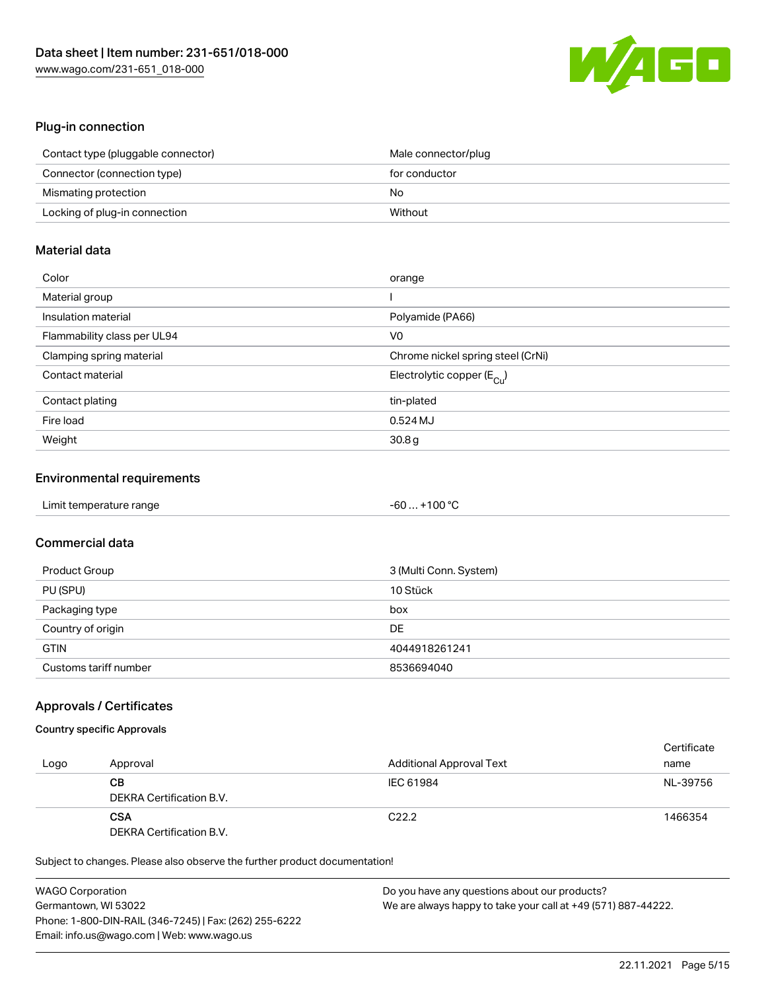

### Plug-in connection

| Contact type (pluggable connector) | Male connector/plug |
|------------------------------------|---------------------|
| Connector (connection type)        | for conductor       |
| Mismating protection               | No                  |
| Locking of plug-in connection      | Without             |

### Material data

| Color                       | orange                                  |
|-----------------------------|-----------------------------------------|
| Material group              |                                         |
| Insulation material         | Polyamide (PA66)                        |
| Flammability class per UL94 | V0                                      |
| Clamping spring material    | Chrome nickel spring steel (CrNi)       |
| Contact material            | Electrolytic copper ( $E_{\text{Cu}}$ ) |
| Contact plating             | tin-plated                              |
| Fire load                   | 0.524 MJ                                |
| Weight                      | 30.8 <sub>g</sub>                       |

### Environmental requirements

| Limit temperature range | $-60+100 °C$ |  |
|-------------------------|--------------|--|
|-------------------------|--------------|--|

### Commercial data

| Product Group         | 3 (Multi Conn. System) |
|-----------------------|------------------------|
| PU (SPU)              | 10 Stück               |
| Packaging type        | box                    |
| Country of origin     | DE                     |
| <b>GTIN</b>           | 4044918261241          |
| Customs tariff number | 8536694040             |

### Approvals / Certificates

### Country specific Approvals

| Logo | Approval                               | <b>Additional Approval Text</b> | Certificate<br>name |
|------|----------------------------------------|---------------------------------|---------------------|
|      | CВ<br>DEKRA Certification B.V.         | IEC 61984                       | NL-39756            |
|      | <b>CSA</b><br>DEKRA Certification B.V. | C <sub>22.2</sub>               | 1466354             |

| <b>WAGO Corporation</b>                                | Do you have any questions about our products?                 |
|--------------------------------------------------------|---------------------------------------------------------------|
| Germantown, WI 53022                                   | We are always happy to take your call at +49 (571) 887-44222. |
| Phone: 1-800-DIN-RAIL (346-7245)   Fax: (262) 255-6222 |                                                               |
| Email: info.us@wago.com   Web: www.wago.us             |                                                               |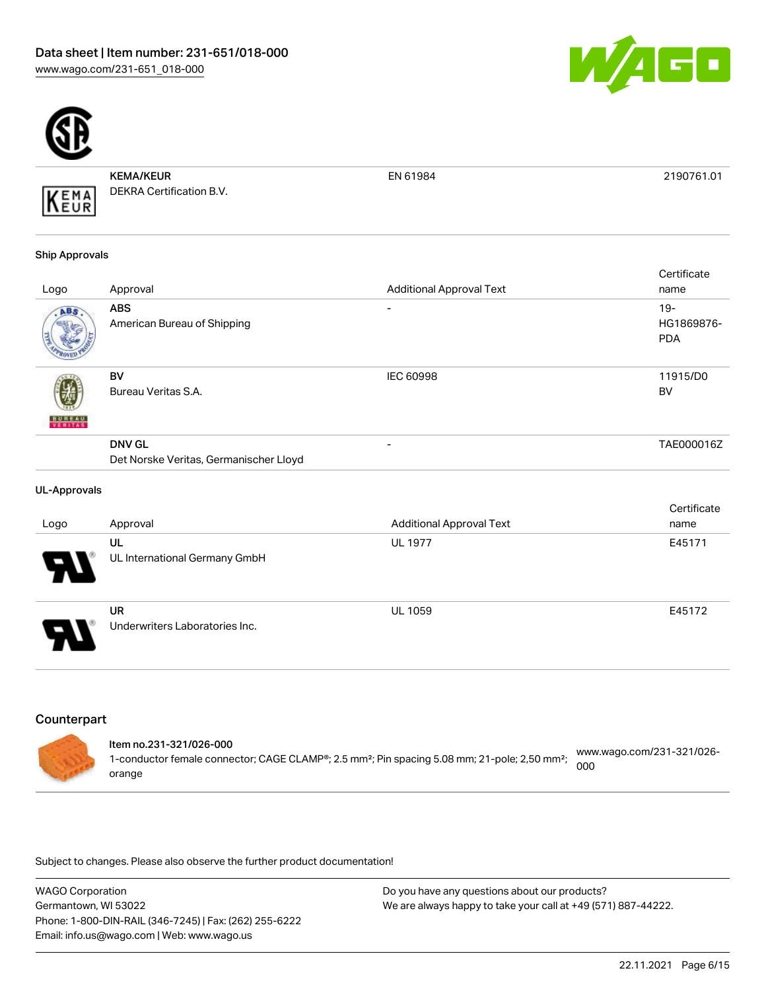



KEMA/KEUR DEKRA Certification B.V.

EN 61984 2190761.01

#### Ship Approvals

KEMA

|               |                                           |                                 | Certificate         |
|---------------|-------------------------------------------|---------------------------------|---------------------|
| Logo          | Approval                                  | <b>Additional Approval Text</b> | name                |
| ABS.          | <b>ABS</b><br>American Bureau of Shipping | ۰                               | $19-$<br>HG1869876- |
|               |                                           |                                 | <b>PDA</b>          |
|               | <b>BV</b>                                 | <b>IEC 60998</b>                | 11915/D0            |
|               | Bureau Veritas S.A.                       |                                 | <b>BV</b>           |
| <b>BUREAU</b> |                                           |                                 |                     |
|               | <b>DNV GL</b>                             | ۰                               | TAE000016Z          |
|               | Det Norske Veritas, Germanischer Lloyd    |                                 |                     |

#### UL-Approvals

|                            |                                             |                                 | Certificate |
|----------------------------|---------------------------------------------|---------------------------------|-------------|
| Logo                       | Approval                                    | <b>Additional Approval Text</b> | name        |
| $\boldsymbol{\theta}$      | UL<br>UL International Germany GmbH         | <b>UL 1977</b>                  | E45171      |
| $\boldsymbol{\mathcal{A}}$ | <b>UR</b><br>Underwriters Laboratories Inc. | <b>UL 1059</b>                  | E45172      |

### **Counterpart**

|  | ltem no.231-321/026-000                                                                                               |                                  |
|--|-----------------------------------------------------------------------------------------------------------------------|----------------------------------|
|  | 1-conductor female connector; CAGE CLAMP®; 2.5 mm <sup>2</sup> ; Pin spacing 5.08 mm; 21-pole; 2,50 mm <sup>2</sup> ; | www.wago.com/231-321/026-<br>000 |
|  | orange                                                                                                                |                                  |

| <b>WAGO Corporation</b>                                | Do you have any questions about our products?                 |
|--------------------------------------------------------|---------------------------------------------------------------|
| Germantown, WI 53022                                   | We are always happy to take your call at +49 (571) 887-44222. |
| Phone: 1-800-DIN-RAIL (346-7245)   Fax: (262) 255-6222 |                                                               |
| Email: info.us@wago.com   Web: www.wago.us             |                                                               |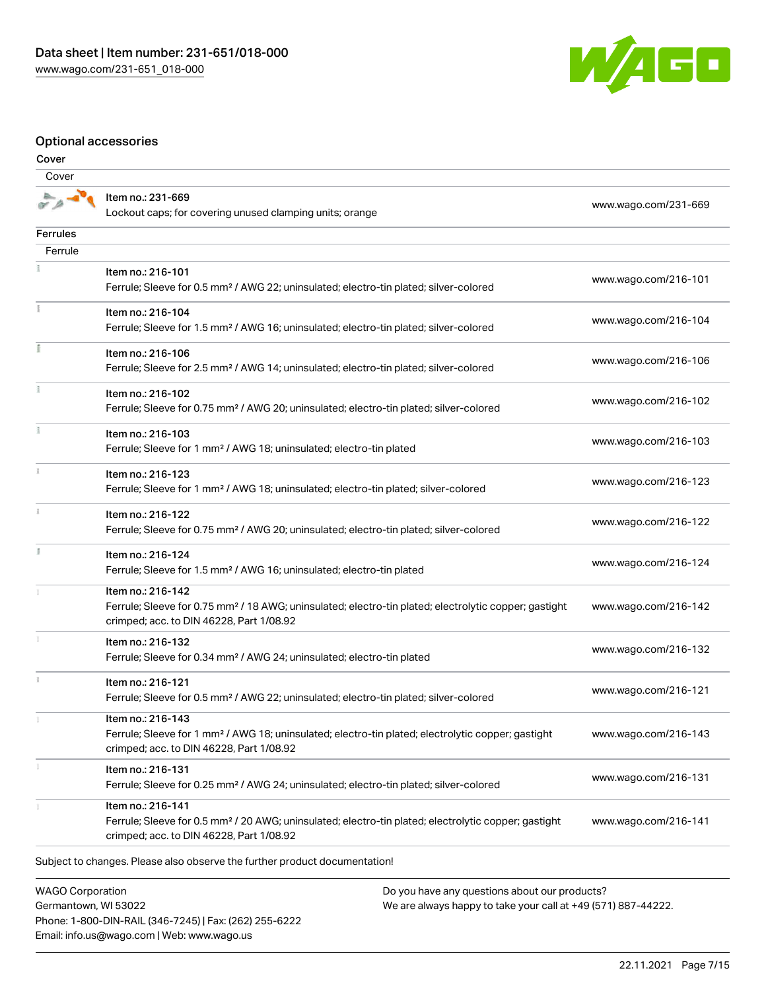

### Optional accessories

| Cover    |                                                                                                                                                                                    |                      |
|----------|------------------------------------------------------------------------------------------------------------------------------------------------------------------------------------|----------------------|
| Cover    |                                                                                                                                                                                    |                      |
|          | Item no.: 231-669<br>Lockout caps; for covering unused clamping units; orange                                                                                                      | www.wago.com/231-669 |
| Ferrules |                                                                                                                                                                                    |                      |
| Ferrule  |                                                                                                                                                                                    |                      |
|          | Item no.: 216-101<br>Ferrule; Sleeve for 0.5 mm <sup>2</sup> / AWG 22; uninsulated; electro-tin plated; silver-colored                                                             | www.wago.com/216-101 |
|          | Item no.: 216-104<br>Ferrule; Sleeve for 1.5 mm <sup>2</sup> / AWG 16; uninsulated; electro-tin plated; silver-colored                                                             | www.wago.com/216-104 |
|          | Item no.: 216-106<br>Ferrule; Sleeve for 2.5 mm <sup>2</sup> / AWG 14; uninsulated; electro-tin plated; silver-colored                                                             | www.wago.com/216-106 |
|          | Item no.: 216-102<br>Ferrule; Sleeve for 0.75 mm <sup>2</sup> / AWG 20; uninsulated; electro-tin plated; silver-colored                                                            | www.wago.com/216-102 |
| Ŧ.       | Item no.: 216-103<br>Ferrule; Sleeve for 1 mm <sup>2</sup> / AWG 18; uninsulated; electro-tin plated                                                                               | www.wago.com/216-103 |
|          | Item no.: 216-123<br>Ferrule; Sleeve for 1 mm <sup>2</sup> / AWG 18; uninsulated; electro-tin plated; silver-colored                                                               | www.wago.com/216-123 |
|          | Item no.: 216-122<br>Ferrule; Sleeve for 0.75 mm <sup>2</sup> / AWG 20; uninsulated; electro-tin plated; silver-colored                                                            | www.wago.com/216-122 |
|          | Item no.: 216-124<br>Ferrule; Sleeve for 1.5 mm <sup>2</sup> / AWG 16; uninsulated; electro-tin plated                                                                             | www.wago.com/216-124 |
|          | Item no.: 216-142<br>Ferrule; Sleeve for 0.75 mm <sup>2</sup> / 18 AWG; uninsulated; electro-tin plated; electrolytic copper; gastight<br>crimped; acc. to DIN 46228, Part 1/08.92 | www.wago.com/216-142 |
|          | Item no.: 216-132<br>Ferrule; Sleeve for 0.34 mm <sup>2</sup> / AWG 24; uninsulated; electro-tin plated                                                                            | www.wago.com/216-132 |
|          | Item no.: 216-121<br>Ferrule; Sleeve for 0.5 mm <sup>2</sup> / AWG 22; uninsulated; electro-tin plated; silver-colored                                                             | www.wago.com/216-121 |
|          | Item no.: 216-143<br>Ferrule; Sleeve for 1 mm <sup>2</sup> / AWG 18; uninsulated; electro-tin plated; electrolytic copper; gastight<br>crimped; acc. to DIN 46228, Part 1/08.92    | www.wago.com/216-143 |
|          | Item no.: 216-131<br>Ferrule; Sleeve for 0.25 mm <sup>2</sup> / AWG 24; uninsulated; electro-tin plated; silver-colored                                                            | www.wago.com/216-131 |
|          | Item no.: 216-141<br>Ferrule; Sleeve for 0.5 mm <sup>2</sup> / 20 AWG; uninsulated; electro-tin plated; electrolytic copper; gastight<br>crimped; acc. to DIN 46228, Part 1/08.92  | www.wago.com/216-141 |
|          | Subject to changes. Please also observe the further product documentation!                                                                                                         |                      |

WAGO Corporation Germantown, WI 53022 Phone: 1-800-DIN-RAIL (346-7245) | Fax: (262) 255-6222 Email: info.us@wago.com | Web: www.wago.us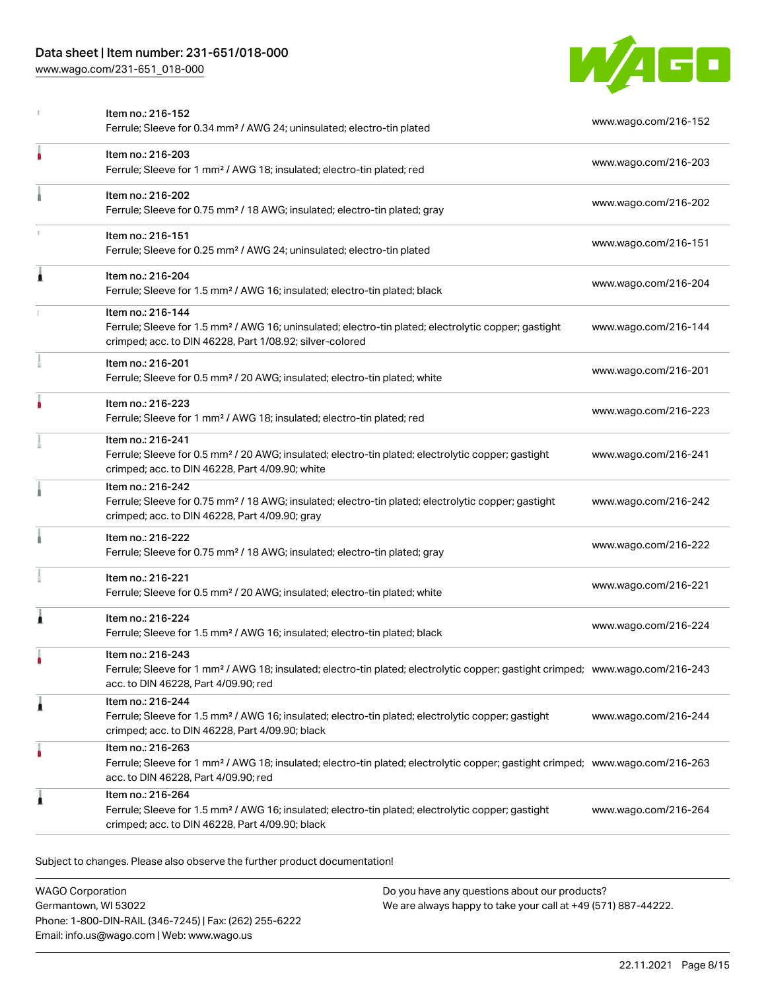### Data sheet | Item number: 231-651/018-000

[www.wago.com/231-651\\_018-000](http://www.wago.com/231-651_018-000)



|   | Item no.: 216-152<br>Ferrule; Sleeve for 0.34 mm <sup>2</sup> / AWG 24; uninsulated; electro-tin plated                                                                                                 | www.wago.com/216-152 |
|---|---------------------------------------------------------------------------------------------------------------------------------------------------------------------------------------------------------|----------------------|
| ۸ | Item no.: 216-203<br>Ferrule; Sleeve for 1 mm <sup>2</sup> / AWG 18; insulated; electro-tin plated; red                                                                                                 | www.wago.com/216-203 |
|   | Item no.: 216-202<br>Ferrule; Sleeve for 0.75 mm <sup>2</sup> / 18 AWG; insulated; electro-tin plated; gray                                                                                             | www.wago.com/216-202 |
|   | Item no.: 216-151<br>Ferrule; Sleeve for 0.25 mm <sup>2</sup> / AWG 24; uninsulated; electro-tin plated                                                                                                 | www.wago.com/216-151 |
| 1 | Item no.: 216-204<br>Ferrule; Sleeve for 1.5 mm <sup>2</sup> / AWG 16; insulated; electro-tin plated; black                                                                                             | www.wago.com/216-204 |
|   | Item no.: 216-144<br>Ferrule; Sleeve for 1.5 mm <sup>2</sup> / AWG 16; uninsulated; electro-tin plated; electrolytic copper; gastight<br>crimped; acc. to DIN 46228, Part 1/08.92; silver-colored       | www.wago.com/216-144 |
|   | Item no.: 216-201<br>Ferrule; Sleeve for 0.5 mm <sup>2</sup> / 20 AWG; insulated; electro-tin plated; white                                                                                             | www.wago.com/216-201 |
|   | Item no.: 216-223<br>Ferrule; Sleeve for 1 mm <sup>2</sup> / AWG 18; insulated; electro-tin plated; red                                                                                                 | www.wago.com/216-223 |
|   | Item no.: 216-241<br>Ferrule; Sleeve for 0.5 mm <sup>2</sup> / 20 AWG; insulated; electro-tin plated; electrolytic copper; gastight<br>crimped; acc. to DIN 46228, Part 4/09.90; white                  | www.wago.com/216-241 |
|   | Item no.: 216-242<br>Ferrule; Sleeve for 0.75 mm <sup>2</sup> / 18 AWG; insulated; electro-tin plated; electrolytic copper; gastight<br>crimped; acc. to DIN 46228, Part 4/09.90; gray                  | www.wago.com/216-242 |
|   | Item no.: 216-222<br>Ferrule; Sleeve for 0.75 mm <sup>2</sup> / 18 AWG; insulated; electro-tin plated; gray                                                                                             | www.wago.com/216-222 |
|   | Item no.: 216-221<br>Ferrule; Sleeve for 0.5 mm <sup>2</sup> / 20 AWG; insulated; electro-tin plated; white                                                                                             | www.wago.com/216-221 |
| 1 | Item no.: 216-224<br>Ferrule; Sleeve for 1.5 mm <sup>2</sup> / AWG 16; insulated; electro-tin plated; black                                                                                             | www.wago.com/216-224 |
|   | Item no.: 216-243<br>Ferrule; Sleeve for 1 mm <sup>2</sup> / AWG 18; insulated; electro-tin plated; electrolytic copper; gastight crimped; www.wago.com/216-243<br>acc. to DIN 46228, Part 4/09.90; red |                      |
| Â | Item no.: 216-244<br>Ferrule; Sleeve for 1.5 mm <sup>2</sup> / AWG 16; insulated; electro-tin plated; electrolytic copper; gastight<br>crimped; acc. to DIN 46228, Part 4/09.90; black                  | www.wago.com/216-244 |
|   | Item no.: 216-263<br>Ferrule; Sleeve for 1 mm <sup>2</sup> / AWG 18; insulated; electro-tin plated; electrolytic copper; gastight crimped; www.wago.com/216-263<br>acc. to DIN 46228, Part 4/09.90; red |                      |
| 1 | Item no.: 216-264<br>Ferrule; Sleeve for 1.5 mm <sup>2</sup> / AWG 16; insulated; electro-tin plated; electrolytic copper; gastight<br>crimped; acc. to DIN 46228, Part 4/09.90; black                  | www.wago.com/216-264 |
|   |                                                                                                                                                                                                         |                      |

Subject to changes. Please also observe the further product documentation!

WAGO Corporation Germantown, WI 53022 Phone: 1-800-DIN-RAIL (346-7245) | Fax: (262) 255-6222 Email: info.us@wago.com | Web: www.wago.us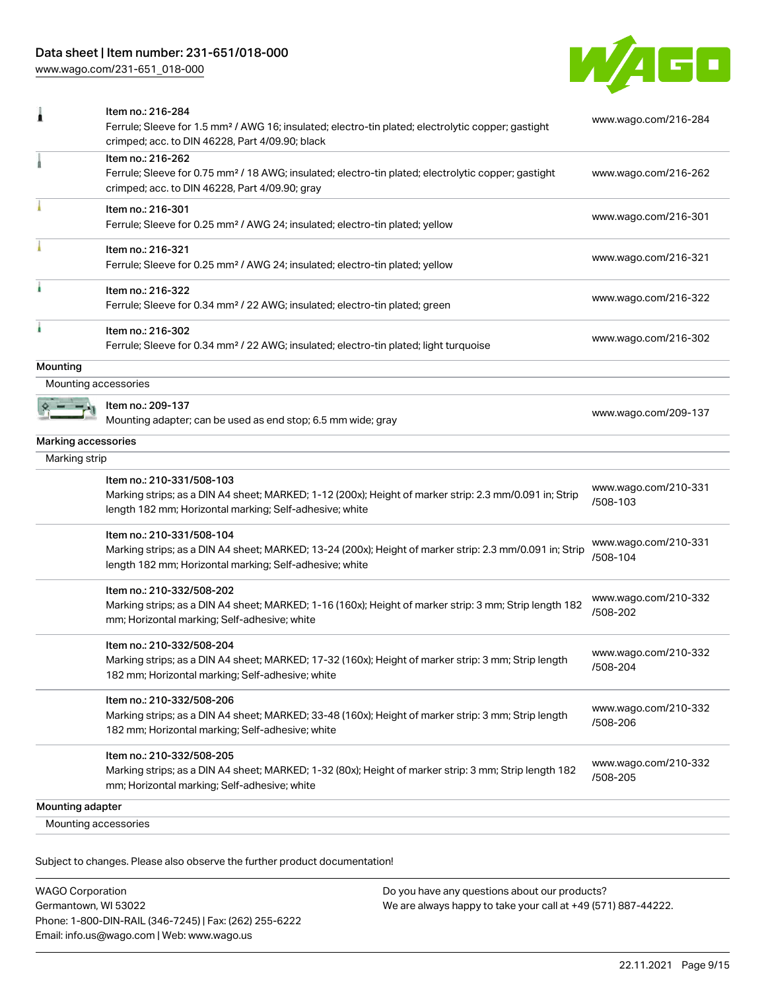### Data sheet | Item number: 231-651/018-000

[www.wago.com/231-651\\_018-000](http://www.wago.com/231-651_018-000)



|                      | Item no.: 216-284<br>Ferrule; Sleeve for 1.5 mm <sup>2</sup> / AWG 16; insulated; electro-tin plated; electrolytic copper; gastight<br>crimped; acc. to DIN 46228, Part 4/09.90; black          | www.wago.com/216-284             |
|----------------------|-------------------------------------------------------------------------------------------------------------------------------------------------------------------------------------------------|----------------------------------|
|                      | Item no.: 216-262<br>Ferrule; Sleeve for 0.75 mm <sup>2</sup> / 18 AWG; insulated; electro-tin plated; electrolytic copper; gastight<br>crimped; acc. to DIN 46228, Part 4/09.90; gray          | www.wago.com/216-262             |
|                      | Item no.: 216-301<br>Ferrule; Sleeve for 0.25 mm <sup>2</sup> / AWG 24; insulated; electro-tin plated; yellow                                                                                   | www.wago.com/216-301             |
|                      | Item no.: 216-321<br>Ferrule; Sleeve for 0.25 mm <sup>2</sup> / AWG 24; insulated; electro-tin plated; yellow                                                                                   | www.wago.com/216-321             |
|                      | Item no.: 216-322<br>Ferrule; Sleeve for 0.34 mm <sup>2</sup> / 22 AWG; insulated; electro-tin plated; green                                                                                    | www.wago.com/216-322             |
|                      | Item no.: 216-302<br>Ferrule; Sleeve for 0.34 mm <sup>2</sup> / 22 AWG; insulated; electro-tin plated; light turquoise                                                                          | www.wago.com/216-302             |
| Mounting             |                                                                                                                                                                                                 |                                  |
| Mounting accessories |                                                                                                                                                                                                 |                                  |
|                      | Item no.: 209-137<br>Mounting adapter; can be used as end stop; 6.5 mm wide; gray                                                                                                               | www.wago.com/209-137             |
| Marking accessories  |                                                                                                                                                                                                 |                                  |
| Marking strip        |                                                                                                                                                                                                 |                                  |
|                      | Item no.: 210-331/508-103<br>Marking strips; as a DIN A4 sheet; MARKED; 1-12 (200x); Height of marker strip: 2.3 mm/0.091 in; Strip<br>length 182 mm; Horizontal marking; Self-adhesive; white  | www.wago.com/210-331<br>/508-103 |
|                      | Item no.: 210-331/508-104<br>Marking strips; as a DIN A4 sheet; MARKED; 13-24 (200x); Height of marker strip: 2.3 mm/0.091 in; Strip<br>length 182 mm; Horizontal marking; Self-adhesive; white | www.wago.com/210-331<br>/508-104 |
|                      | Item no.: 210-332/508-202<br>Marking strips; as a DIN A4 sheet; MARKED; 1-16 (160x); Height of marker strip: 3 mm; Strip length 182<br>mm; Horizontal marking; Self-adhesive; white             | www.wago.com/210-332<br>/508-202 |
|                      | Item no.: 210-332/508-204<br>Marking strips; as a DIN A4 sheet; MARKED; 17-32 (160x); Height of marker strip: 3 mm; Strip length<br>182 mm; Horizontal marking; Self-adhesive; white            | www.wago.com/210-332<br>/508-204 |
|                      | Item no.: 210-332/508-206<br>Marking strips; as a DIN A4 sheet; MARKED; 33-48 (160x); Height of marker strip: 3 mm; Strip length<br>182 mm; Horizontal marking; Self-adhesive; white            | www.wago.com/210-332<br>/508-206 |
|                      | Item no.: 210-332/508-205<br>Marking strips; as a DIN A4 sheet; MARKED; 1-32 (80x); Height of marker strip: 3 mm; Strip length 182<br>mm; Horizontal marking; Self-adhesive; white              | www.wago.com/210-332<br>/508-205 |
| Mounting adapter     |                                                                                                                                                                                                 |                                  |
| Mounting accessories |                                                                                                                                                                                                 |                                  |
|                      |                                                                                                                                                                                                 |                                  |

Subject to changes. Please also observe the further product documentation!

WAGO Corporation Germantown, WI 53022 Phone: 1-800-DIN-RAIL (346-7245) | Fax: (262) 255-6222 Email: info.us@wago.com | Web: www.wago.us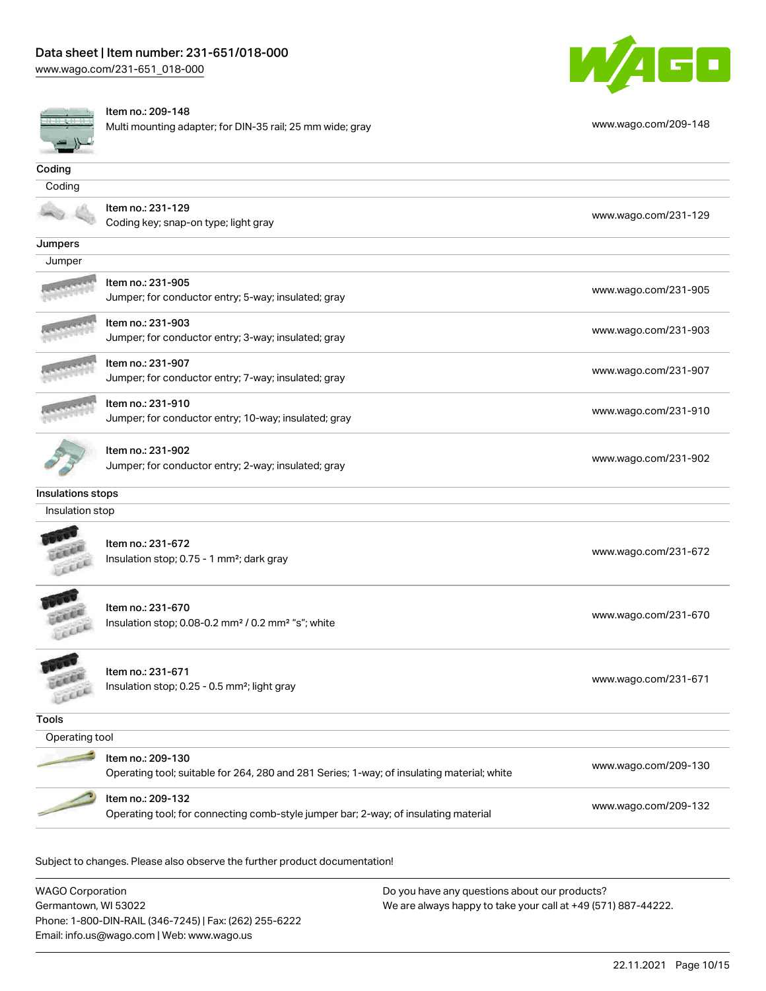

#### Item no.: 209-148

Multi mounting adapter; for DIN-35 rail; 25 mm wide; gray [www.wago.com/209-148](http://www.wago.com/209-148)



|                                      | $m$ and $m$ of the $q$ decipitor, for Dirk 00 fail, 20 film wide, gray                                          |                      |
|--------------------------------------|-----------------------------------------------------------------------------------------------------------------|----------------------|
| Coding                               |                                                                                                                 |                      |
| Coding                               |                                                                                                                 |                      |
|                                      | Item no.: 231-129<br>Coding key; snap-on type; light gray                                                       | www.wago.com/231-129 |
| Jumpers                              |                                                                                                                 |                      |
| Jumper                               |                                                                                                                 |                      |
|                                      | Item no.: 231-905<br>Jumper; for conductor entry; 5-way; insulated; gray                                        | www.wago.com/231-905 |
|                                      | Item no.: 231-903<br>Jumper; for conductor entry; 3-way; insulated; gray                                        | www.wago.com/231-903 |
|                                      | Item no.: 231-907<br>Jumper; for conductor entry; 7-way; insulated; gray                                        | www.wago.com/231-907 |
|                                      | Item no.: 231-910<br>Jumper; for conductor entry; 10-way; insulated; gray                                       | www.wago.com/231-910 |
|                                      | Item no.: 231-902<br>Jumper; for conductor entry; 2-way; insulated; gray                                        | www.wago.com/231-902 |
| Insulations stops<br>Insulation stop |                                                                                                                 |                      |
|                                      | Item no.: 231-672<br>Insulation stop; 0.75 - 1 mm <sup>2</sup> ; dark gray                                      | www.wago.com/231-672 |
| cia                                  | Item no.: 231-670<br>Insulation stop; 0.08-0.2 mm <sup>2</sup> / 0.2 mm <sup>2</sup> "s"; white                 | www.wago.com/231-670 |
| LEEE                                 | Item no.: 231-671<br>Insulation stop; 0.25 - 0.5 mm <sup>2</sup> ; light gray                                   | www.wago.com/231-671 |
| <b>Tools</b>                         |                                                                                                                 |                      |
| Operating tool                       |                                                                                                                 |                      |
|                                      | Item no.: 209-130<br>Operating tool; suitable for 264, 280 and 281 Series; 1-way; of insulating material; white | www.wago.com/209-130 |
|                                      | Item no.: 209-132<br>Operating tool; for connecting comb-style jumper bar; 2-way; of insulating material        | www.wago.com/209-132 |

Subject to changes. Please also observe the further product documentation!

WAGO Corporation Germantown, WI 53022 Phone: 1-800-DIN-RAIL (346-7245) | Fax: (262) 255-6222 Email: info.us@wago.com | Web: www.wago.us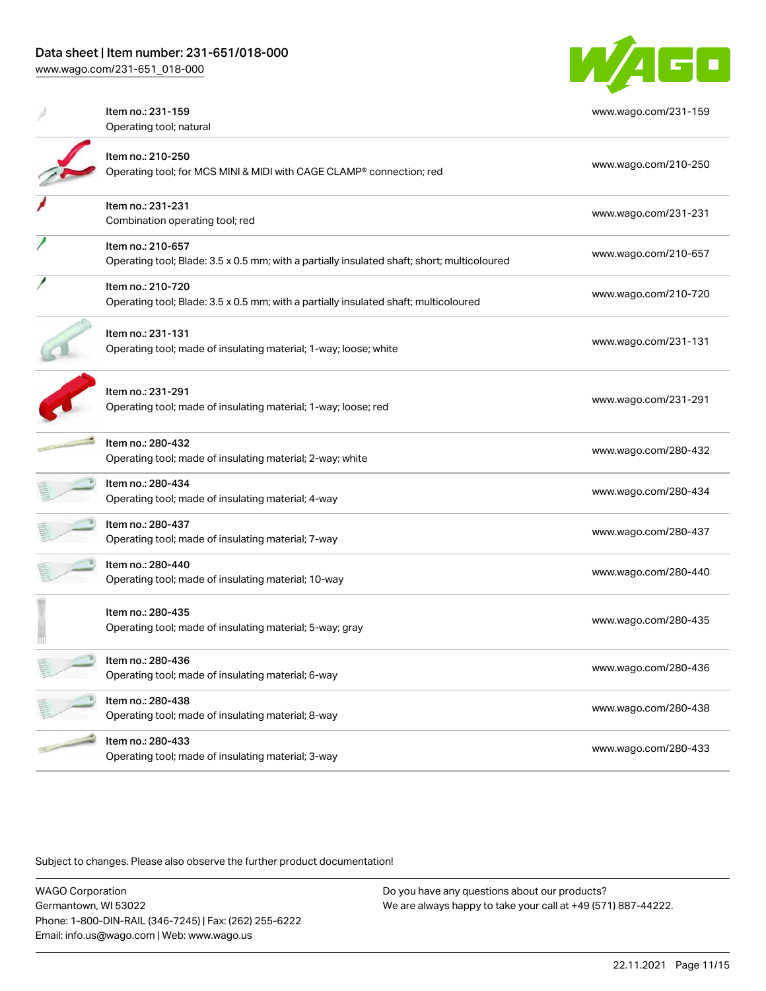[www.wago.com/231-651\\_018-000](http://www.wago.com/231-651_018-000)



| Item no.: 231-159<br>Operating tool; natural                                                                     | www.wago.com/231-159 |
|------------------------------------------------------------------------------------------------------------------|----------------------|
| Item no.: 210-250<br>Operating tool; for MCS MINI & MIDI with CAGE CLAMP® connection; red                        | www.wago.com/210-250 |
| Item no.: 231-231<br>Combination operating tool; red                                                             | www.wago.com/231-231 |
| Item no.: 210-657<br>Operating tool; Blade: 3.5 x 0.5 mm; with a partially insulated shaft; short; multicoloured | www.wago.com/210-657 |
| Item no.: 210-720<br>Operating tool; Blade: 3.5 x 0.5 mm; with a partially insulated shaft; multicoloured        | www.wago.com/210-720 |
| Item no.: 231-131<br>Operating tool; made of insulating material; 1-way; loose; white                            | www.wago.com/231-131 |
| Item no.: 231-291<br>Operating tool; made of insulating material; 1-way; loose; red                              | www.wago.com/231-291 |
| Item no.: 280-432<br>Operating tool; made of insulating material; 2-way; white                                   | www.wago.com/280-432 |
| Item no.: 280-434<br>Operating tool; made of insulating material; 4-way                                          | www.wago.com/280-434 |
| Item no.: 280-437<br>Operating tool; made of insulating material; 7-way                                          | www.wago.com/280-437 |
| Item no.: 280-440<br>Operating tool; made of insulating material; 10-way                                         | www.wago.com/280-440 |
| Item no.: 280-435<br>Operating tool; made of insulating material; 5-way; gray                                    | www.wago.com/280-435 |
| Item no.: 280-436<br>Operating tool; made of insulating material; 6-way                                          | www.wago.com/280-436 |
| Item no.: 280-438<br>Operating tool; made of insulating material; 8-way                                          | www.wago.com/280-438 |
| Item no.: 280-433<br>Operating tool; made of insulating material; 3-way                                          | www.wago.com/280-433 |

Subject to changes. Please also observe the further product documentation!

WAGO Corporation Germantown, WI 53022 Phone: 1-800-DIN-RAIL (346-7245) | Fax: (262) 255-6222 Email: info.us@wago.com | Web: www.wago.us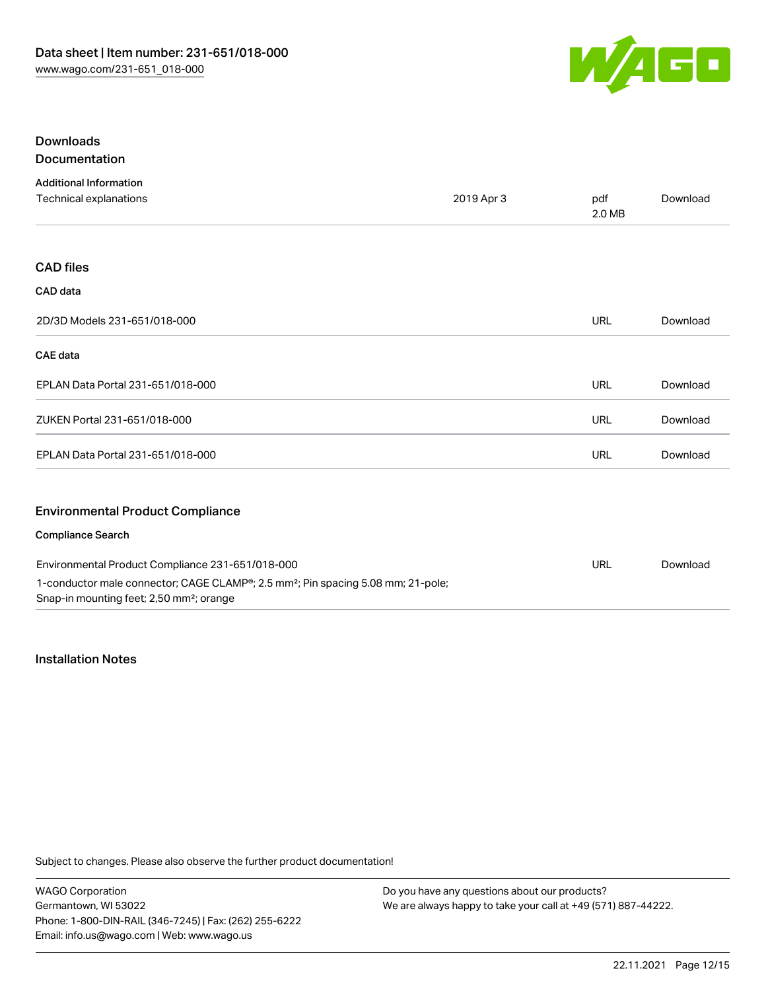

### Downloads Documentation

| <b>Additional Information</b>                                                                                                                        |            |               |          |
|------------------------------------------------------------------------------------------------------------------------------------------------------|------------|---------------|----------|
| Technical explanations                                                                                                                               | 2019 Apr 3 | pdf<br>2.0 MB | Download |
|                                                                                                                                                      |            |               |          |
| <b>CAD files</b>                                                                                                                                     |            |               |          |
| CAD data                                                                                                                                             |            |               |          |
| 2D/3D Models 231-651/018-000                                                                                                                         |            | <b>URL</b>    | Download |
| <b>CAE</b> data                                                                                                                                      |            |               |          |
| EPLAN Data Portal 231-651/018-000                                                                                                                    |            | <b>URL</b>    | Download |
| ZUKEN Portal 231-651/018-000                                                                                                                         |            | <b>URL</b>    | Download |
| EPLAN Data Portal 231-651/018-000                                                                                                                    |            | <b>URL</b>    | Download |
| <b>Environmental Product Compliance</b>                                                                                                              |            |               |          |
| <b>Compliance Search</b>                                                                                                                             |            |               |          |
| Environmental Product Compliance 231-651/018-000                                                                                                     |            | <b>URL</b>    | Download |
| 1-conductor male connector; CAGE CLAMP®; 2.5 mm <sup>2</sup> ; Pin spacing 5.08 mm; 21-pole;<br>Snap-in mounting feet; 2,50 mm <sup>2</sup> ; orange |            |               |          |

### Installation Notes

Subject to changes. Please also observe the further product documentation!

WAGO Corporation Germantown, WI 53022 Phone: 1-800-DIN-RAIL (346-7245) | Fax: (262) 255-6222 Email: info.us@wago.com | Web: www.wago.us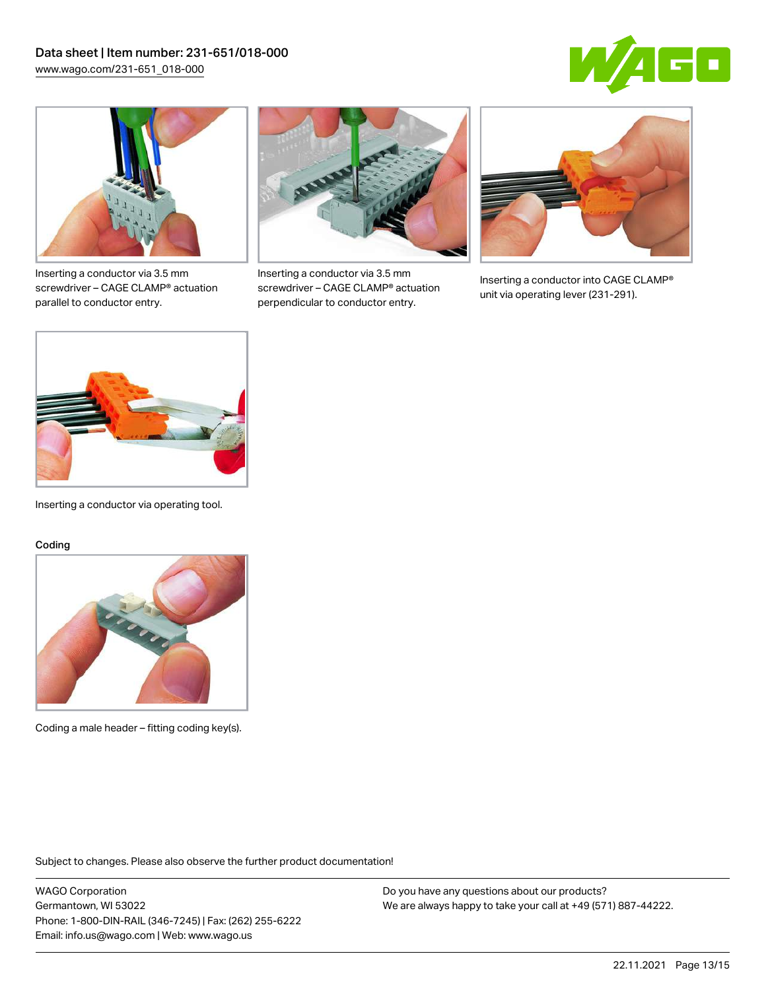



Inserting a conductor via 3.5 mm screwdriver – CAGE CLAMP® actuation parallel to conductor entry.



Inserting a conductor via 3.5 mm screwdriver – CAGE CLAMP® actuation perpendicular to conductor entry.



Inserting a conductor into CAGE CLAMP® unit via operating lever (231-291).



Inserting a conductor via operating tool.

#### Coding



Coding a male header – fitting coding key(s).

Subject to changes. Please also observe the further product documentation!

WAGO Corporation Germantown, WI 53022 Phone: 1-800-DIN-RAIL (346-7245) | Fax: (262) 255-6222 Email: info.us@wago.com | Web: www.wago.us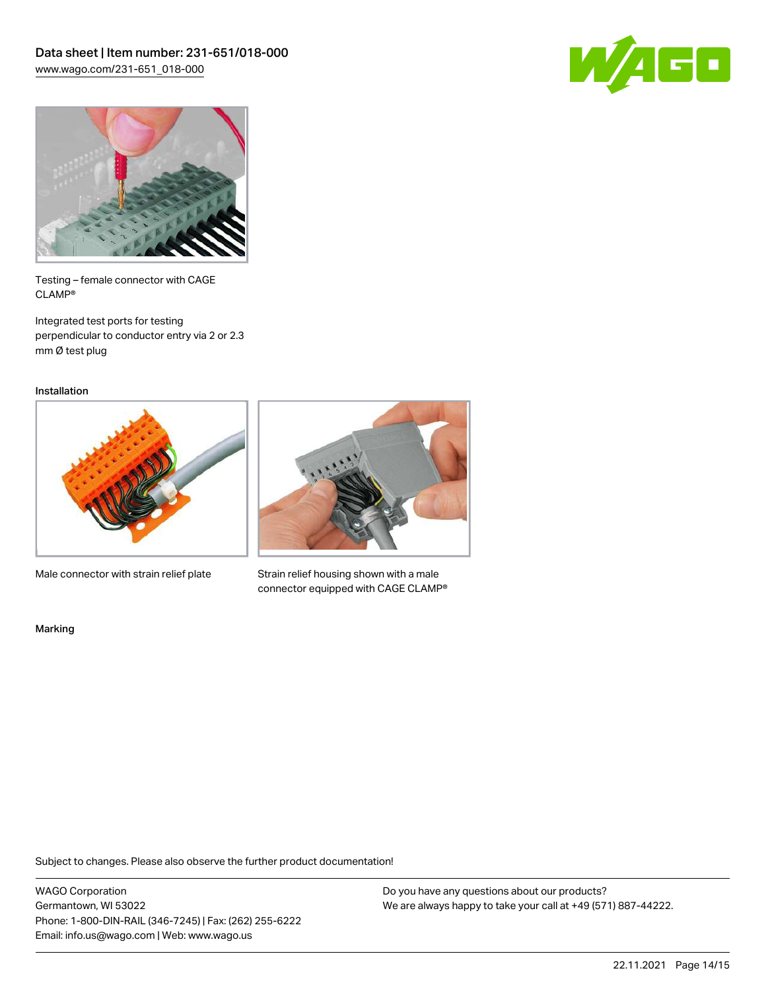



Testing – female connector with CAGE CLAMP®

Integrated test ports for testing perpendicular to conductor entry via 2 or 2.3 mm Ø test plug

Installation



Male connector with strain relief plate



Strain relief housing shown with a male connector equipped with CAGE CLAMP®

Marking

Subject to changes. Please also observe the further product documentation!

WAGO Corporation Germantown, WI 53022 Phone: 1-800-DIN-RAIL (346-7245) | Fax: (262) 255-6222 Email: info.us@wago.com | Web: www.wago.us